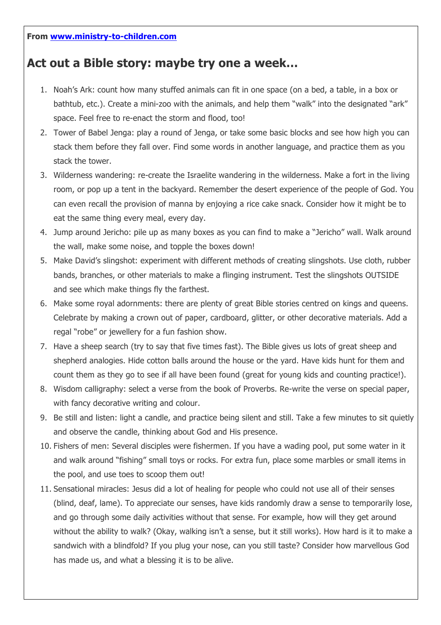## **Act out a Bible story: maybe try one a week…**

- 1. Noah's Ark: count how many stuffed animals can fit in one space (on a bed, a table, in a box or bathtub, etc.). Create a mini-zoo with the animals, and help them "walk" into the designated "ark" space. Feel free to re-enact the storm and flood, too!
- 2. Tower of Babel Jenga: play a round of Jenga, or take some basic blocks and see how high you can stack them before they fall over. Find some words in another language, and practice them as you stack the tower.
- 3. Wilderness wandering: re-create the Israelite wandering in the wilderness. Make a fort in the living room, or pop up a tent in the backyard. Remember the desert experience of the people of God. You can even recall the provision of manna by enjoying a rice cake snack. Consider how it might be to eat the same thing every meal, every day.
- 4. Jump around Jericho: pile up as many boxes as you can find to make a "Jericho" wall. Walk around the wall, make some noise, and topple the boxes down!
- 5. Make David's slingshot: experiment with different methods of creating slingshots. Use cloth, rubber bands, branches, or other materials to make a flinging instrument. Test the slingshots OUTSIDE and see which make things fly the farthest.
- 6. Make some royal adornments: there are plenty of great Bible stories centred on kings and queens. Celebrate by making a crown out of paper, cardboard, glitter, or other decorative materials. Add a regal "robe" or jewellery for a fun fashion show.
- 7. Have a sheep search (try to say that five times fast). The Bible gives us lots of great sheep and shepherd analogies. Hide cotton balls around the house or the yard. Have kids hunt for them and count them as they go to see if all have been found (great for young kids and counting practice!).
- 8. Wisdom calligraphy: select a verse from the book of Proverbs. Re-write the verse on special paper, with fancy decorative writing and colour.
- 9. Be still and listen: light a candle, and practice being silent and still. Take a few minutes to sit quietly and observe the candle, thinking about God and His presence.
- 10. Fishers of men: Several disciples were fishermen. If you have a wading pool, put some water in it and walk around "fishing" small toys or rocks. For extra fun, place some marbles or small items in the pool, and use toes to scoop them out!
- 11. Sensational miracles: Jesus did a lot of healing for people who could not use all of their senses (blind, deaf, lame). To appreciate our senses, have kids randomly draw a sense to temporarily lose, and go through some daily activities without that sense. For example, how will they get around without the ability to walk? (Okay, walking isn't a sense, but it still works). How hard is it to make a sandwich with a blindfold? If you plug your nose, can you still taste? Consider how marvellous God has made us, and what a blessing it is to be alive.